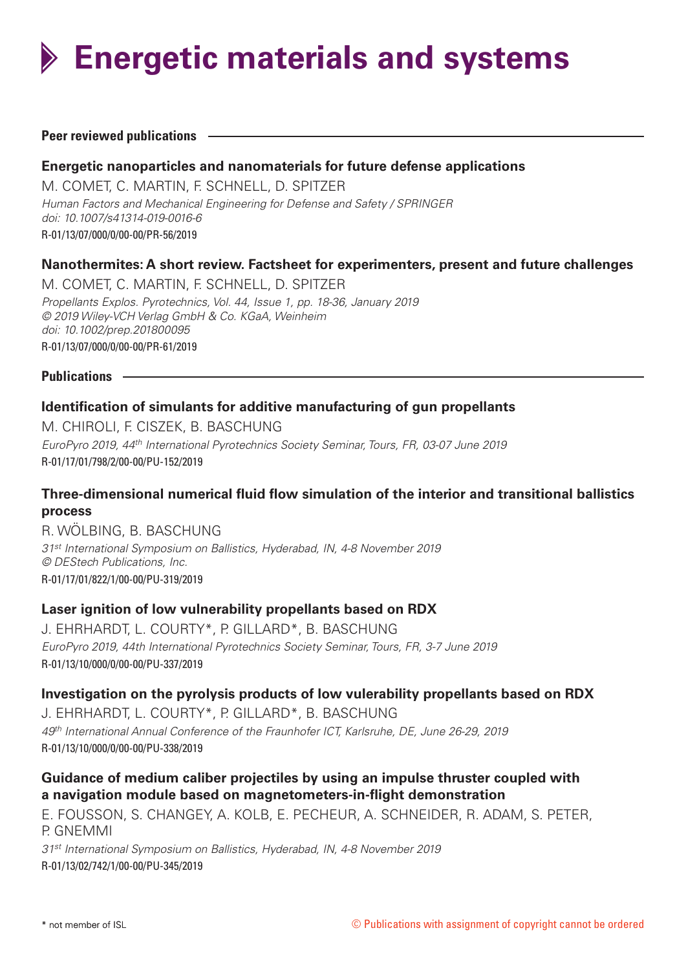**Energetic materials and systems**

#### **Peer reviewed publications**

#### **Energetic nanoparticles and nanomaterials for future defense applications**

M. COMET, C. MARTIN, F. SCHNELL, D. SPITZER *Human Factors and Mechanical Engineering for Defense and Safety / SPRINGER doi: 10.1007/s41314-019-0016-6* R-01/13/07/000/0/00-00/PR-56/2019

#### **Nanothermites: A short review. Factsheet for experimenters, present and future challenges**

M. COMET, C. MARTIN, F. SCHNELL, D. SPITZER *Propellants Explos. Pyrotechnics, Vol. 44, Issue 1, pp. 18-36, January 2019 © 2019 Wiley-VCH Verlag GmbH & Co. KGaA, Weinheim doi: 10.1002/prep.201800095* R-01/13/07/000/0/00-00/PR-61/2019

**Publications**

#### **Identification of simulants for additive manufacturing of gun propellants**

M. CHIROLI, F. CISZEK, B. BASCHUNG *EuroPyro 2019, 44th International Pyrotechnics Society Seminar, Tours, FR, 03-07 June 2019* R-01/17/01/798/2/00-00/PU-152/2019

#### **Three-dimensional numerical fluid flow simulation of the interior and transitional ballistics process**

R. WÖLBING, B. BASCHUNG *31st International Symposium on Ballistics, Hyderabad, IN, 4-8 November 2019 © DEStech Publications, Inc.* R-01/17/01/822/1/00-00/PU-319/2019

#### **Laser ignition of low vulnerability propellants based on RDX**

J. EHRHARDT, L. COURTY\*, P. GILLARD\*, B. BASCHUNG *EuroPyro 2019, 44th International Pyrotechnics Society Seminar, Tours, FR, 3-7 June 2019* R-01/13/10/000/0/00-00/PU-337/2019

#### **Investigation on the pyrolysis products of low vulerability propellants based on RDX**

J. EHRHARDT, L. COURTY\*, P. GILLARD\*, B. BASCHUNG *49th International Annual Conference of the Fraunhofer ICT, Karlsruhe, DE, June 26-29, 2019* R-01/13/10/000/0/00-00/PU-338/2019

# **Guidance of medium caliber projectiles by using an impulse thruster coupled with a navigation module based on magnetometers-in-flight demonstration**

E. FOUSSON, S. CHANGEY, A. KOLB, E. PECHEUR, A. SCHNEIDER, R. ADAM, S. PETER, P. GNEMMI

*31st International Symposium on Ballistics, Hyderabad, IN, 4-8 November 2019* R-01/13/02/742/1/00-00/PU-345/2019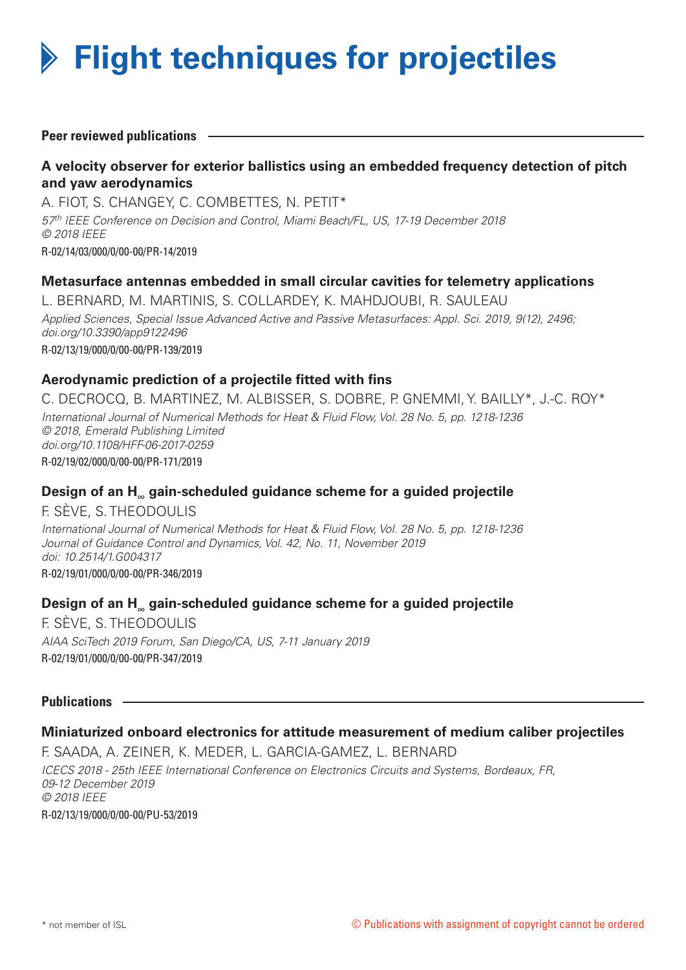

**Peer reviewed publications**

# **A velocity observer for exterior ballistics using an embedded frequency detection of pitch and yaw aerodynamics**

A. FIOT, S. CHANGEY, C. COMBETTES, N. PETIT\* *57th IEEE Conference on Decision and Control, Miami Beach/FL, US, 17-19 December 2018 © 2018 IEEE* R-02/14/03/000/0/00-00/PR-14/2019

#### **Metasurface antennas embedded in small circular cavities for telemetry applications**

L. BERNARD, M. MARTINIS, S. COLLARDEY, K. MAHDJOUBI, R. SAULEAU *Applied Sciences, Special Issue Advanced Active and Passive Metasurfaces: Appl. Sci. 2019, 9(12), 2496; doi.org/10.3390/app9122496* R-02/13/19/000/0/00-00/PR-139/2019

#### **Aerodynamic prediction of a projectile fitted with fins**

C. DECROCQ, B. MARTINEZ, M. ALBISSER, S. DOBRE, P. GNEMMI, Y. BAILLY\*, J.-C. ROY\* *International Journal of Numerical Methods for Heat & Fluid Flow, Vol. 28 No. 5, pp. 1218-1236 © 2018, Emerald Publishing Limited doi.org/10.1108/HFF-06-2017-0259* R-02/19/02/000/0/00-00/PR-171/2019

#### **Design of an H<sub>∞</sub> gain-scheduled guidance scheme for a guided projectile**

F. SÈVE, S. THEODOULIS *International Journal of Numerical Methods for Heat & Fluid Flow, Vol. 28 No. 5, pp. 1218-1236 Journal of Guidance Control and Dynamics, Vol. 42, No. 11, November 2019 doi: 10.2514/1.G004317* R-02/19/01/000/0/00-00/PR-346/2019

#### **Design of an H<sub>∞</sub> gain-scheduled guidance scheme for a guided projectile**

F. SÈVE, S. THEODOULIS *AIAA SciTech 2019 Forum, San Diego/CA, US, 7-11 January 2019* R-02/19/01/000/0/00-00/PR-347/2019

#### **Publications**

#### **Miniaturized onboard electronics for attitude measurement of medium caliber projectiles**

F. SAADA, A. ZEINER, K. MEDER, L. GARCIA-GAMEZ, L. BERNARD *ICECS 2018 - 25th IEEE International Conference on Electronics Circuits and Systems, Bordeaux, FR, 09-12 December 2019 © 2018 IEEE* R-02/13/19/000/0/00-00/PU-53/2019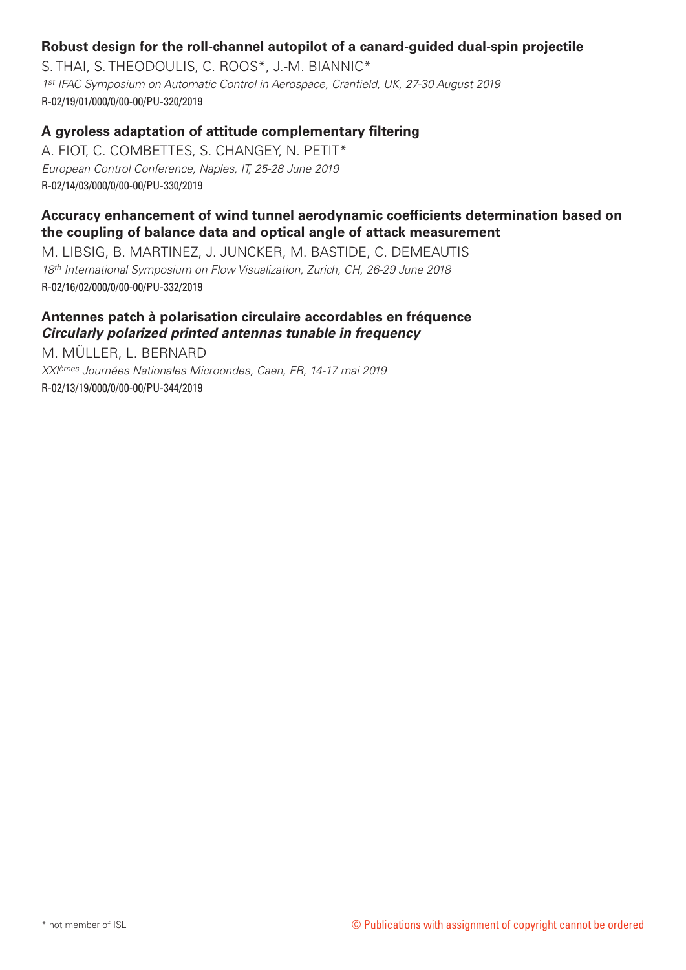# **Robust design for the roll-channel autopilot of a canard-guided dual-spin projectile**

S. THAI, S. THEODOULIS, C. ROOS\*, J.-M. BIANNIC\* *1st IFAC Symposium on Automatic Control in Aerospace, Cranfield, UK, 27-30 August 2019* R-02/19/01/000/0/00-00/PU-320/2019

# **A gyroless adaptation of attitude complementary filtering**

A. FIOT, C. COMBETTES, S. CHANGEY, N. PETIT\* *European Control Conference, Naples, IT, 25-28 June 2019* R-02/14/03/000/0/00-00/PU-330/2019

# **Accuracy enhancement of wind tunnel aerodynamic coefficients determination based on the coupling of balance data and optical angle of attack measurement**

M. LIBSIG, B. MARTINEZ, J. JUNCKER, M. BASTIDE, C. DEMEAUTIS *18th International Symposium on Flow Visualization, Zurich, CH, 26-29 June 2018* R-02/16/02/000/0/00-00/PU-332/2019

#### **Antennes patch à polarisation circulaire accordables en fréquence** *Circularly polarized printed antennas tunable in frequency*

M. MÜLLER, L. BERNARD *XXIèmes Journées Nationales Microondes, Caen, FR, 14-17 mai 2019* R-02/13/19/000/0/00-00/PU-344/2019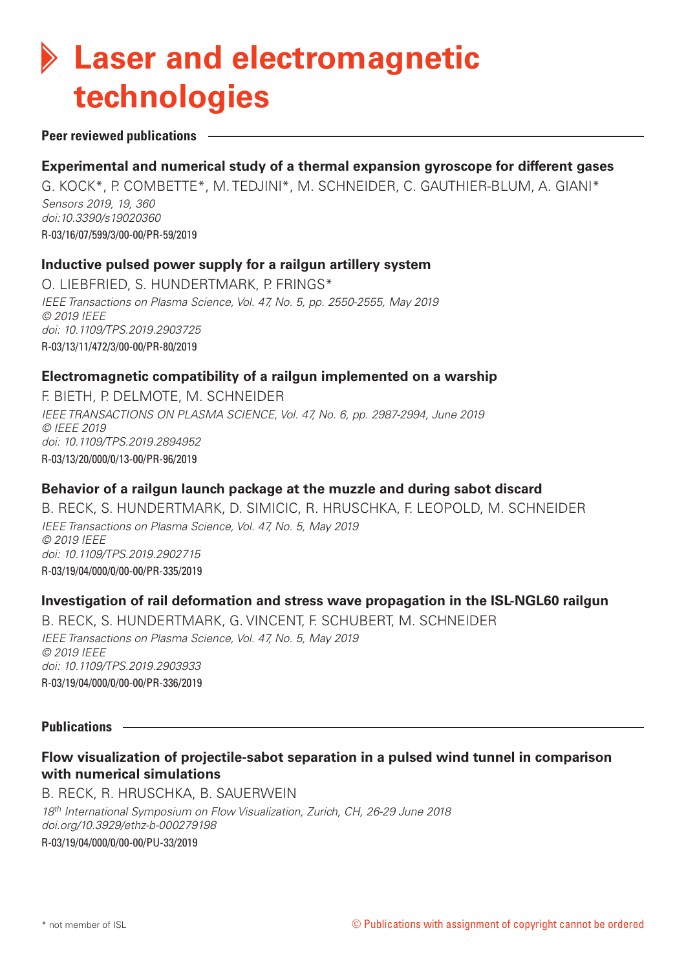# **Laser and electromagnetic technologies**

#### **Peer reviewed publications**

# **Experimental and numerical study of a thermal expansion gyroscope for different gases**

G. KOCK\*, P. COMBETTE\*, M. TEDJINI\*, M. SCHNEIDER, C. GAUTHIER-BLUM, A. GIANI\* *Sensors 2019, 19, 360 doi:10.3390/s19020360* R-03/16/07/599/3/00-00/PR-59/2019

#### **Inductive pulsed power supply for a railgun artillery system**

O. LIEBFRIED, S. HUNDERTMARK, P. FRINGS\* *IEEE Transactions on Plasma Science, Vol. 47, No. 5, pp. 2550-2555, May 2019 © 2019 IEEE doi: 10.1109/TPS.2019.2903725* R-03/13/11/472/3/00-00/PR-80/2019

#### **Electromagnetic compatibility of a railgun implemented on a warship**

F. BIETH, P. DELMOTE, M. SCHNEIDER *IEEE TRANSACTIONS ON PLASMA SCIENCE, Vol. 47, No. 6, pp. 2987-2994, June 2019 © IEEE 2019 doi: 10.1109/TPS.2019.2894952* R-03/13/20/000/0/13-00/PR-96/2019

# **Behavior of a railgun launch package at the muzzle and during sabot discard**

B. RECK, S. HUNDERTMARK, D. SIMICIC, R. HRUSCHKA, F. LEOPOLD, M. SCHNEIDER *IEEE Transactions on Plasma Science, Vol. 47, No. 5, May 2019 © 2019 IEEE doi: 10.1109/TPS.2019.2902715* R-03/19/04/000/0/00-00/PR-335/2019

# **Investigation of rail deformation and stress wave propagation in the ISL-NGL60 railgun**

B. RECK, S. HUNDERTMARK, G. VINCENT, F. SCHUBERT, M. SCHNEIDER *IEEE Transactions on Plasma Science, Vol. 47, No. 5, May 2019 © 2019 IEEE doi: 10.1109/TPS.2019.2903933* R-03/19/04/000/0/00-00/PR-336/2019

#### **Publications**

# **Flow visualization of projectile-sabot separation in a pulsed wind tunnel in comparison with numerical simulations**

B. RECK, R. HRUSCHKA, B. SAUERWEIN *18th International Symposium on Flow Visualization, Zurich, CH, 26-29 June 2018 doi.org/10.3929/ethz-b-000279198* R-03/19/04/000/0/00-00/PU-33/2019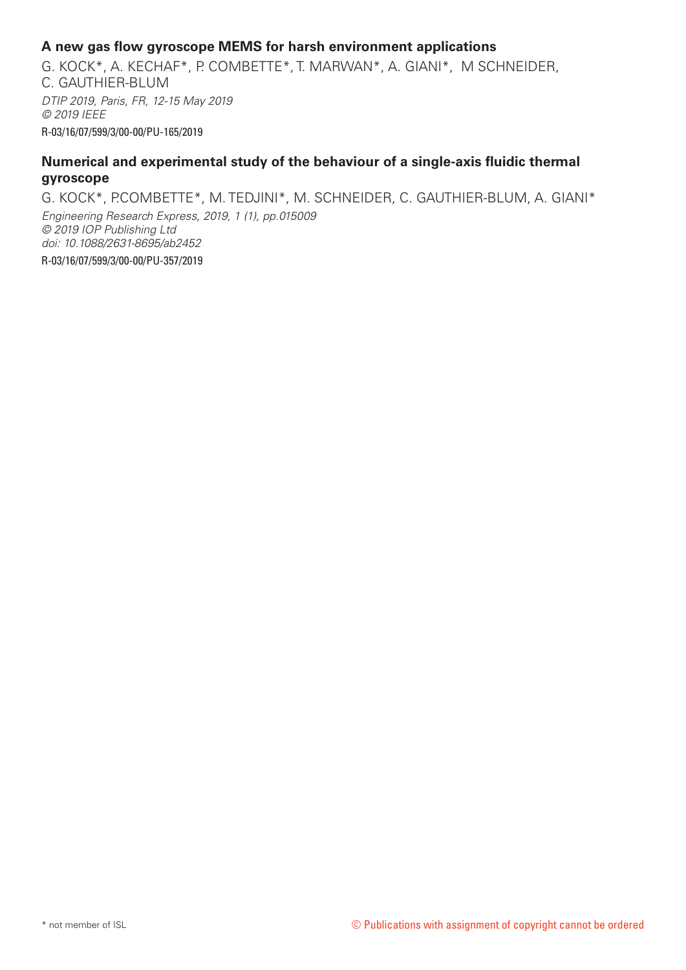#### **A new gas flow gyroscope MEMS for harsh environment applications**

G. KOCK\*, A. KECHAF\*, P. COMBETTE\*, T. MARWAN\*, A. GIANI\*, M SCHNEIDER, C. GAUTHIER-BLUM *DTIP 2019, Paris, FR, 12-15 May 2019 © 2019 IEEE* R-03/16/07/599/3/00-00/PU-165/2019

#### **Numerical and experimental study of the behaviour of a single-axis fluidic thermal gyroscope**

G. KOCK\*, P.COMBETTE\*, M. TEDJINI\*, M. SCHNEIDER, C. GAUTHIER-BLUM, A. GIANI\* *Engineering Research Express, 2019, 1 (1), pp.015009 © 2019 IOP Publishing Ltd doi: 10.1088/2631-8695/ab2452* R-03/16/07/599/3/00-00/PU-357/2019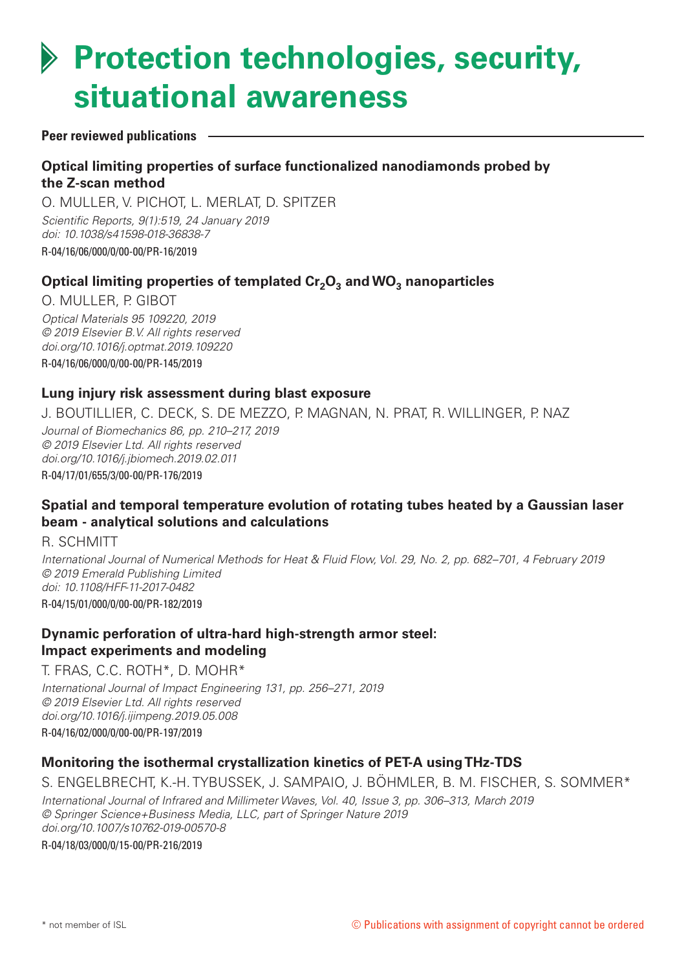# **Protection technologies, security, situational awareness**

#### **Peer reviewed publications**

# **Optical limiting properties of surface functionalized nanodiamonds probed by the Z-scan method**

O. MULLER, V. PICHOT, L. MERLAT, D. SPITZER *Scientific Reports, 9(1):519, 24 January 2019 doi: 10.1038/s41598-018-36838-7* R-04/16/06/000/0/00-00/PR-16/2019

# Optical limiting properties of templated Cr<sub>2</sub>O<sub>3</sub> and WO<sub>3</sub> nanoparticles

O. MULLER, P. GIBOT *Optical Materials 95 109220, 2019 © 2019 Elsevier B.V. All rights reserved doi.org/10.1016/j.optmat.2019.109220* R-04/16/06/000/0/00-00/PR-145/2019

#### **Lung injury risk assessment during blast exposure**

J. BOUTILLIER, C. DECK, S. DE MEZZO, P. MAGNAN, N. PRAT, R. WILLINGER, P. NAZ

*Journal of Biomechanics 86, pp. 210–217, 2019 © 2019 Elsevier Ltd. All rights reserved doi.org/10.1016/j.jbiomech.2019.02.011* R-04/17/01/655/3/00-00/PR-176/2019

# **Spatial and temporal temperature evolution of rotating tubes heated by a Gaussian laser beam - analytical solutions and calculations**

R. SCHMITT

*International Journal of Numerical Methods for Heat & Fluid Flow, Vol. 29, No. 2, pp. 682–701, 4 February 2019 © 2019 Emerald Publishing Limited doi: 10.1108/HFF-11-2017-0482* R-04/15/01/000/0/00-00/PR-182/2019

# **Dynamic perforation of ultra-hard high-strength armor steel: Impact experiments and modeling**

T. FRAS, C.C. ROTH\*, D. MOHR\*

*International Journal of Impact Engineering 131, pp. 256–271, 2019 © 2019 Elsevier Ltd. All rights reserved doi.org/10.1016/j.ijimpeng.2019.05.008* R-04/16/02/000/0/00-00/PR-197/2019

# **Monitoring the isothermal crystallization kinetics of PET-A using THz-TDS**

S. ENGELBRECHT, K.-H. TYBUSSEK, J. SAMPAIO, J. BÖHMLER, B. M. FISCHER, S. SOMMER\* *International Journal of Infrared and Millimeter Waves, Vol. 40, Issue 3, pp. 306–313, March 2019 © Springer Science+Business Media, LLC, part of Springer Nature 2019 doi.org/10.1007/s10762-019-00570-8*

R-04/18/03/000/0/15-00/PR-216/2019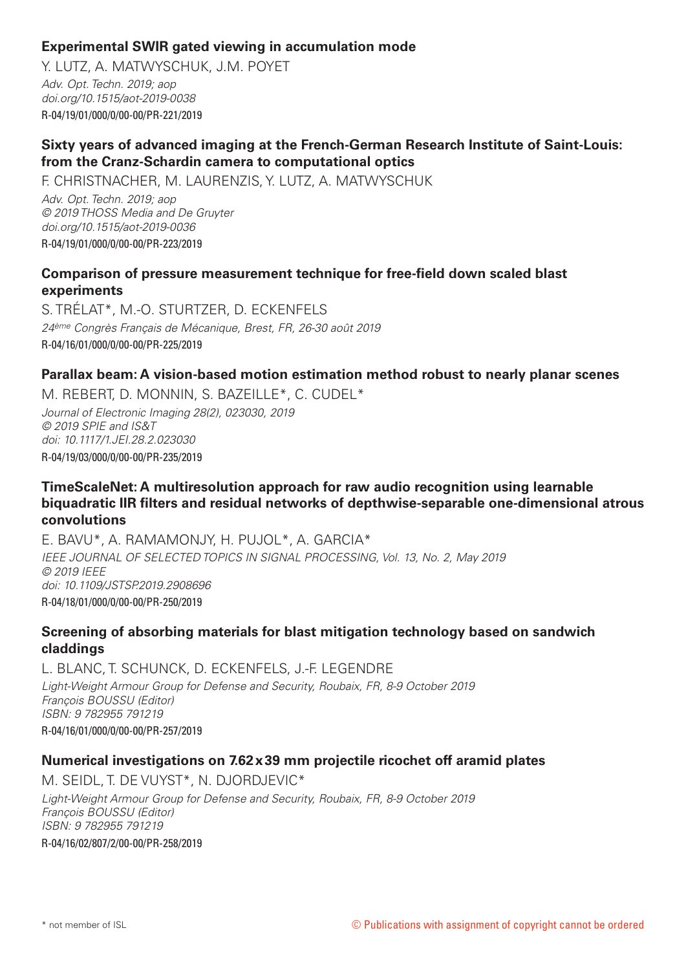# **Experimental SWIR gated viewing in accumulation mode**

Y. LUTZ, A. MATWYSCHUK, J.M. POYET *Adv. Opt. Techn. 2019; aop doi.org/10.1515/aot-2019-0038* R-04/19/01/000/0/00-00/PR-221/2019

# **Sixty years of advanced imaging at the French-German Research Institute of Saint-Louis: from the Cranz-Schardin camera to computational optics**

F. CHRISTNACHER, M. LAURENZIS, Y. LUTZ, A. MATWYSCHUK *Adv. Opt. Techn. 2019; aop © 2019 THOSS Media and De Gruyter doi.org/10.1515/aot-2019-0036* R-04/19/01/000/0/00-00/PR-223/2019

# **Comparison of pressure measurement technique for free-field down scaled blast experiments**

S. TRÉLAT\*, M.-O. STURTZER, D. ECKENFELS *24ème Congrès Français de Mécanique, Brest, FR, 26-30 août 2019* R-04/16/01/000/0/00-00/PR-225/2019

#### **Parallax beam: A vision-based motion estimation method robust to nearly planar scenes**

M. REBERT, D. MONNIN, S. BAZEILLE\*, C. CUDEL\* *Journal of Electronic Imaging 28(2), 023030, 2019*

*© 2019 SPIE and IS&T doi: 10.1117/1.JEI.28.2.023030* R-04/19/03/000/0/00-00/PR-235/2019

#### **TimeScaleNet: A multiresolution approach for raw audio recognition using learnable biquadratic IIR filters and residual networks of depthwise-separable one-dimensional atrous convolutions**

E. BAVU\*, A. RAMAMONJY, H. PUJOL\*, A. GARCIA\* *IEEE JOURNAL OF SELECTED TOPICS IN SIGNAL PROCESSING, Vol. 13, No. 2, May 2019 © 2019 IEEE doi: 10.1109/JSTSP.2019.2908696* R-04/18/01/000/0/00-00/PR-250/2019

# **Screening of absorbing materials for blast mitigation technology based on sandwich claddings**

L. BLANC, T. SCHUNCK, D. ECKENFELS, J.-F. LEGENDRE *Light-Weight Armour Group for Defense and Security, Roubaix, FR, 8-9 October 2019 François BOUSSU (Editor) ISBN: 9 782955 791219* R-04/16/01/000/0/00-00/PR-257/2019

#### **Numerical investigations on 7.62x39 mm projectile ricochet off aramid plates**

M. SEIDL, T. DE VUYST\*, N. DJORDJEVIC\* *Light-Weight Armour Group for Defense and Security, Roubaix, FR, 8-9 October 2019 François BOUSSU (Editor) ISBN: 9 782955 791219*

R-04/16/02/807/2/00-00/PR-258/2019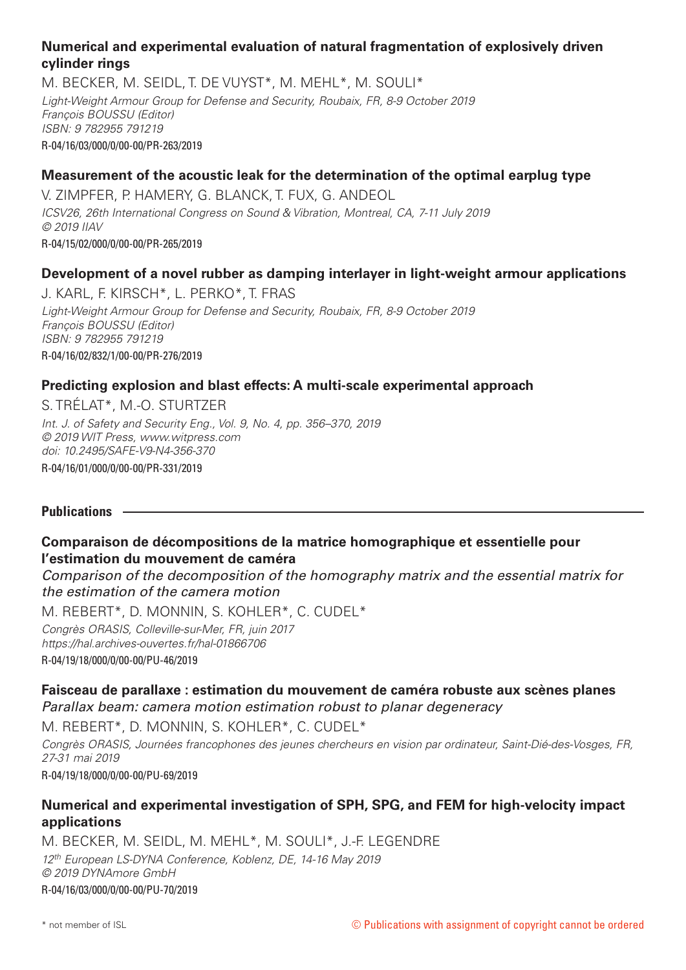# **Numerical and experimental evaluation of natural fragmentation of explosively driven cylinder rings**

M. BECKER, M. SEIDL, T. DE VUYST\*, M. MEHL\*, M. SOULI\* *Light-Weight Armour Group for Defense and Security, Roubaix, FR, 8-9 October 2019 François BOUSSU (Editor) ISBN: 9 782955 791219* R-04/16/03/000/0/00-00/PR-263/2019

# **Measurement of the acoustic leak for the determination of the optimal earplug type**

V. ZIMPFER, P. HAMERY, G. BLANCK, T. FUX, G. ANDEOL *ICSV26, 26th International Congress on Sound & Vibration, Montreal, CA, 7-11 July 2019 © 2019 IIAV* R-04/15/02/000/0/00-00/PR-265/2019

# **Development of a novel rubber as damping interlayer in light-weight armour applications**

J. KARL, F. KIRSCH\*, L. PERKO\*, T. FRAS *Light-Weight Armour Group for Defense and Security, Roubaix, FR, 8-9 October 2019 François BOUSSU (Editor) ISBN: 9 782955 791219* R-04/16/02/832/1/00-00/PR-276/2019

#### **Predicting explosion and blast effects: A multi-scale experimental approach**

S. TRÉLAT\*, M.-O. STURTZER

*Int. J. of Safety and Security Eng., Vol. 9, No. 4, pp. 356–370, 2019 © 2019 WIT Press, www.witpress.com doi: 10.2495/SAFE-V9-N4-356-370* R-04/16/01/000/0/00-00/PR-331/2019

#### **Publications**

# **Comparaison de décompositions de la matrice homographique et essentielle pour l'estimation du mouvement de caméra**

*Comparison of the decomposition of the homography matrix and the essential matrix for the estimation of the camera motion*

M. REBERT\*, D. MONNIN, S. KOHLER\*, C. CUDEL\* *Congrès ORASIS, Colleville-sur-Mer, FR, juin 2017*

*https://hal.archives-ouvertes.fr/hal-01866706* R-04/19/18/000/0/00-00/PU-46/2019

# **Faisceau de parallaxe : estimation du mouvement de caméra robuste aux scènes planes**

*Parallax beam: camera motion estimation robust to planar degeneracy*

M. REBERT\*, D. MONNIN, S. KOHLER\*, C. CUDEL\*

*Congrès ORASIS, Journées francophones des jeunes chercheurs en vision par ordinateur, Saint-Dié-des-Vosges, FR, 27-31 mai 2019*

R-04/19/18/000/0/00-00/PU-69/2019

# **Numerical and experimental investigation of SPH, SPG, and FEM for high-velocity impact applications**

M. BECKER, M. SEIDL, M. MEHL\*, M. SOULI\*, J.-F. LEGENDRE *12th European LS-DYNA Conference, Koblenz, DE, 14-16 May 2019 © 2019 DYNAmore GmbH* R-04/16/03/000/0/00-00/PU-70/2019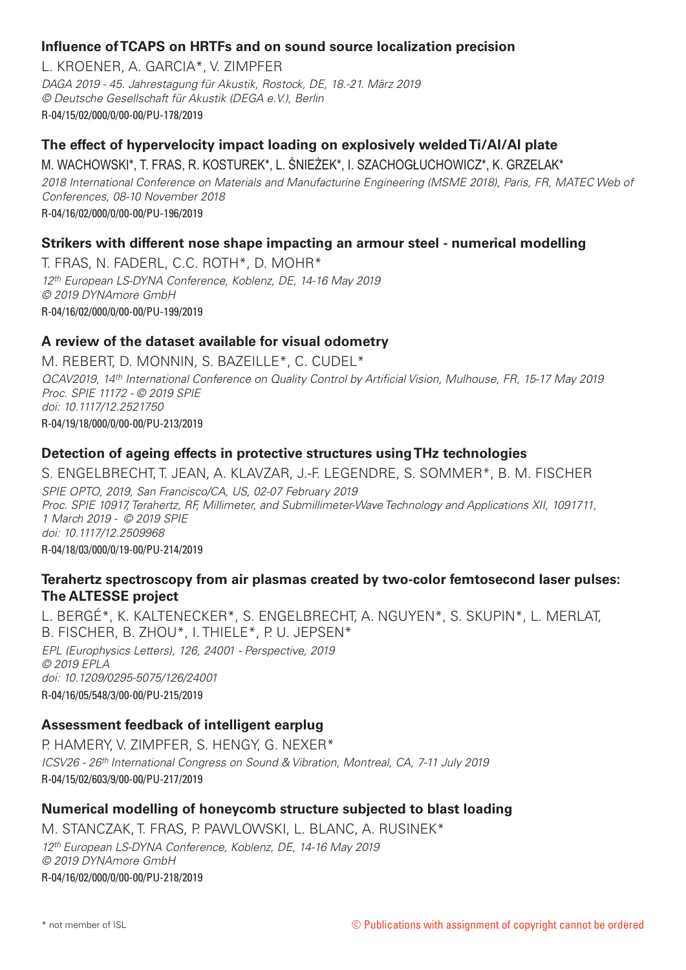# **Influence of TCAPS on HRTFs and on sound source localization precision**

L. KROENER, A. GARCIA\*, V. ZIMPFER *DAGA 2019 - 45. Jahrestagung für Akustik, Rostock, DE, 18.-21. März 2019 © Deutsche Gesellschaft für Akustik (DEGA e.V.), Berlin* R-04/15/02/000/0/00-00/PU-178/2019

# **The effect of hypervelocity impact loading on explosively welded Ti/Al/Al plate**

M. WACHOWSKI\*, T. FRAS, R. KOSTUREK\*, L. ŚNIEŻEK\*, I. SZACHOGŁUCHOWICZ\*, K. GRZELAK\*

*2018 International Conference on Materials and Manufacturine Engineering (MSME 2018), Paris, FR, MATEC Web of Conferences, 08-10 November 2018*

R-04/16/02/000/0/00-00/PU-196/2019

#### **Strikers with different nose shape impacting an armour steel - numerical modelling**

T. FRAS, N. FADERL, C.C. ROTH\*, D. MOHR\* *12th European LS-DYNA Conference, Koblenz, DE, 14-16 May 2019 © 2019 DYNAmore GmbH* R-04/16/02/000/0/00-00/PU-199/2019

#### **A review of the dataset available for visual odometry**

M. REBERT, D. MONNIN, S. BAZEILLE\*, C. CUDEL\* *QCAV2019, 14th International Conference on Quality Control by Artificial Vision, Mulhouse, FR, 15-17 May 2019 Proc. SPIE 11172 - © 2019 SPIE doi: 10.1117/12.2521750* R-04/19/18/000/0/00-00/PU-213/2019

#### **Detection of ageing effects in protective structures using THz technologies**

S. ENGELBRECHT, T. JEAN, A. KLAVZAR, J.-F. LEGENDRE, S. SOMMER\*, B. M. FISCHER *SPIE OPTO, 2019, San Francisco/CA, US, 02-07 February 2019 Proc. SPIE 10917, Terahertz, RF, Millimeter, and Submillimeter-Wave Technology and Applications XII, 1091711, 1 March 2019 - © 2019 SPIE doi: 10.1117/12.2509968* R-04/18/03/000/0/19-00/PU-214/2019

#### **Terahertz spectroscopy from air plasmas created by two-color femtosecond laser pulses: The ALTESSE project**

L. BERGÉ\*, K. KALTENECKER\*, S. ENGELBRECHT, A. NGUYEN\*, S. SKUPIN\*, L. MERLAT, B. FISCHER, B. ZHOU\*, I. THIELE\*, P. U. JEPSEN\* *EPL (Europhysics Letters), 126, 24001 - Perspective, 2019 © 2019 EPLA doi: 10.1209/0295-5075/126/24001* R-04/16/05/548/3/00-00/PU-215/2019

#### **Assessment feedback of intelligent earplug**

P. HAMERY, V. ZIMPFER, S. HENGY, G. NEXER\* *ICSV26 - 26th International Congress on Sound & Vibration, Montreal, CA, 7-11 July 2019* R-04/15/02/603/9/00-00/PU-217/2019

#### **Numerical modelling of honeycomb structure subjected to blast loading**

M. STANCZAK, T. FRAS, P. PAWLOWSKI, L. BLANC, A. RUSINEK\* *12th European LS-DYNA Conference, Koblenz, DE, 14-16 May 2019 © 2019 DYNAmore GmbH* R-04/16/02/000/0/00-00/PU-218/2019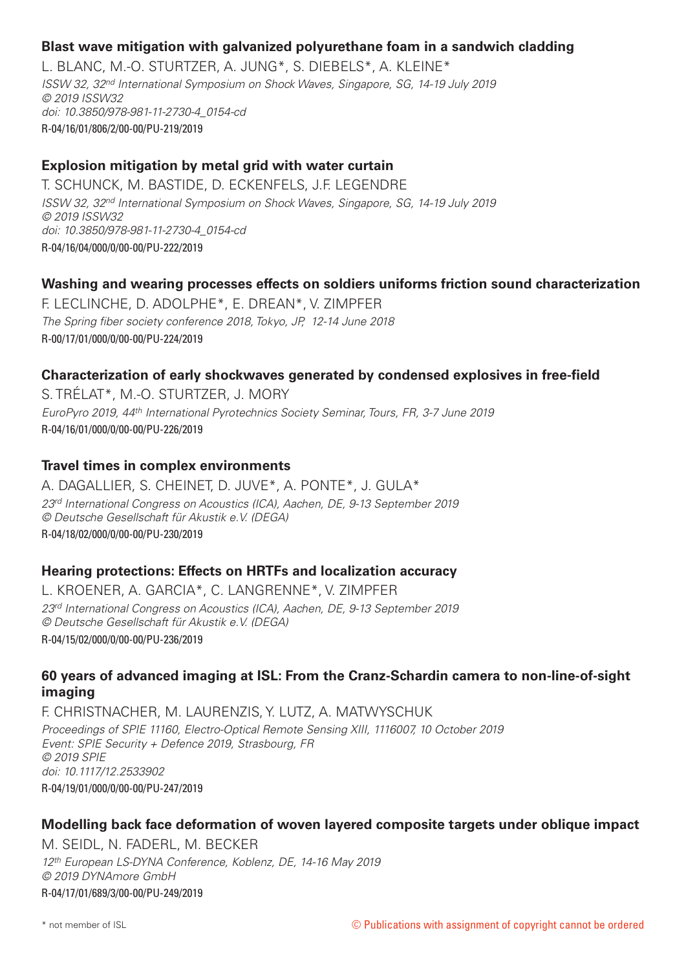# **Blast wave mitigation with galvanized polyurethane foam in a sandwich cladding**

L. BLANC, M.-O. STURTZER, A. JUNG\*, S. DIEBELS\*, A. KLEINE\* *ISSW 32, 32nd International Symposium on Shock Waves, Singapore, SG, 14-19 July 2019 © 2019 ISSW32 doi: 10.3850/978-981-11-2730-4\_0154-cd* R-04/16/01/806/2/00-00/PU-219/2019

# **Explosion mitigation by metal grid with water curtain**

T. SCHUNCK, M. BASTIDE, D. ECKENFELS, J.F. LEGENDRE *ISSW 32, 32nd International Symposium on Shock Waves, Singapore, SG, 14-19 July 2019 © 2019 ISSW32 doi: 10.3850/978-981-11-2730-4\_0154-cd* R-04/16/04/000/0/00-00/PU-222/2019

#### **Washing and wearing processes effects on soldiers uniforms friction sound characterization**

F. LECLINCHE, D. ADOLPHE\*, E. DREAN\*, V. ZIMPFER *The Spring fiber society conference 2018, Tokyo, JP, 12-14 June 2018* R-00/17/01/000/0/00-00/PU-224/2019

#### **Characterization of early shockwaves generated by condensed explosives in free-field**

S. TRÉLAT\*, M.-O. STURTZER, J. MORY *EuroPyro 2019, 44th International Pyrotechnics Society Seminar, Tours, FR, 3-7 June 2019* R-04/16/01/000/0/00-00/PU-226/2019

#### **Travel times in complex environments**

A. DAGALLIER, S. CHEINET, D. JUVE\*, A. PONTE\*, J. GULA\* *23rd International Congress on Acoustics (ICA), Aachen, DE, 9-13 September 2019 © Deutsche Gesellschaft für Akustik e.V. (DEGA)* R-04/18/02/000/0/00-00/PU-230/2019

#### **Hearing protections: Effects on HRTFs and localization accuracy**

L. KROENER, A. GARCIA\*, C. LANGRENNE\*, V. ZIMPFER *23rd International Congress on Acoustics (ICA), Aachen, DE, 9-13 September 2019 © Deutsche Gesellschaft für Akustik e.V. (DEGA)* R-04/15/02/000/0/00-00/PU-236/2019

#### **60 years of advanced imaging at ISL: From the Cranz-Schardin camera to non-line-of-sight imaging**

F. CHRISTNACHER, M. LAURENZIS, Y. LUTZ, A. MATWYSCHUK *Proceedings of SPIE 11160, Electro-Optical Remote Sensing XIII, 1116007, 10 October 2019 Event: SPIE Security + Defence 2019, Strasbourg, FR © 2019 SPIE doi: 10.1117/12.2533902* R-04/19/01/000/0/00-00/PU-247/2019

#### **Modelling back face deformation of woven layered composite targets under oblique impact**

M. SEIDL, N. FADERL, M. BECKER *12th European LS-DYNA Conference, Koblenz, DE, 14-16 May 2019 © 2019 DYNAmore GmbH* R-04/17/01/689/3/00-00/PU-249/2019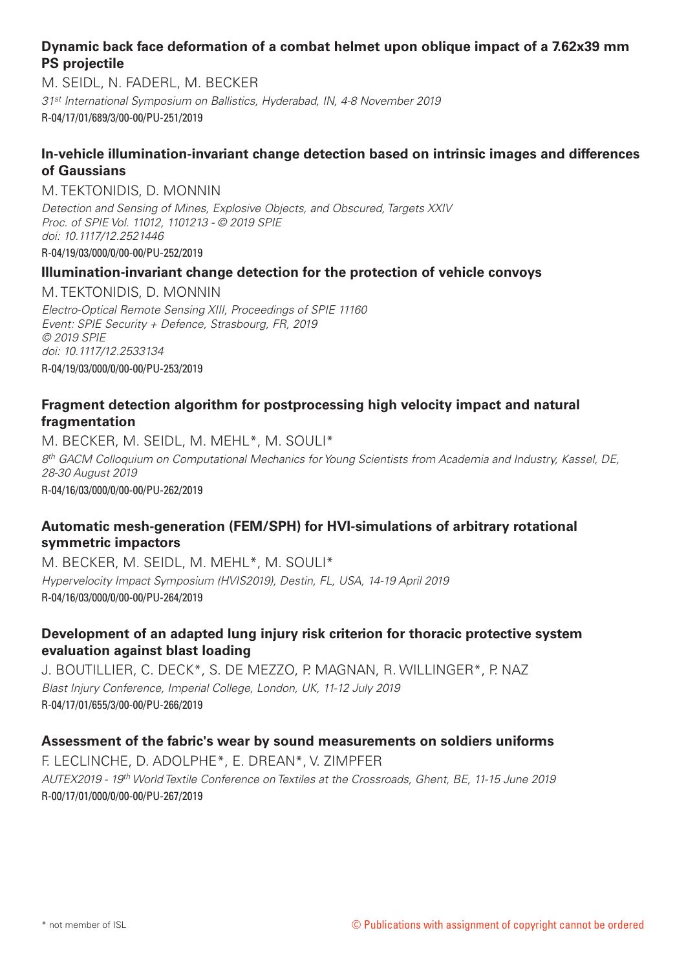# **Dynamic back face deformation of a combat helmet upon oblique impact of a 7.62x39 mm PS projectile**

M. SEIDL, N. FADERL, M. BECKER *31st International Symposium on Ballistics, Hyderabad, IN, 4-8 November 2019* R-04/17/01/689/3/00-00/PU-251/2019

# **In-vehicle illumination-invariant change detection based on intrinsic images and differences of Gaussians**

#### M. TEKTONIDIS, D. MONNIN

*Detection and Sensing of Mines, Explosive Objects, and Obscured, Targets XXIV Proc. of SPIE Vol. 11012, 1101213 - © 2019 SPIE doi: 10.1117/12.2521446* R-04/19/03/000/0/00-00/PU-252/2019

# **Illumination-invariant change detection for the protection of vehicle convoys**

M. TEKTONIDIS, D. MONNIN

*Electro-Optical Remote Sensing XIII, Proceedings of SPIE 11160 Event: SPIE Security + Defence, Strasbourg, FR, 2019 © 2019 SPIE doi: 10.1117/12.2533134* R-04/19/03/000/0/00-00/PU-253/2019

# **Fragment detection algorithm for postprocessing high velocity impact and natural fragmentation**

M. BECKER, M. SEIDL, M. MEHL\*, M. SOULI\* *8th GACM Colloquium on Computational Mechanics for Young Scientists from Academia and Industry, Kassel, DE, 28-30 August 2019* R-04/16/03/000/0/00-00/PU-262/2019

# **Automatic mesh-generation (FEM/SPH) for HVI-simulations of arbitrary rotational symmetric impactors**

M. BECKER, M. SEIDL, M. MEHL\*, M. SOULI\* *Hypervelocity Impact Symposium (HVIS2019), Destin, FL, USA, 14-19 April 2019*  R-04/16/03/000/0/00-00/PU-264/2019

# **Development of an adapted lung injury risk criterion for thoracic protective system evaluation against blast loading**

J. BOUTILLIER, C. DECK\*, S. DE MEZZO, P. MAGNAN, R. WILLINGER\*, P. NAZ *Blast Injury Conference, Imperial College, London, UK, 11-12 July 2019*  R-04/17/01/655/3/00-00/PU-266/2019

#### **Assessment of the fabric's wear by sound measurements on soldiers uniforms**

F. LECLINCHE, D. ADOLPHE\*, E. DREAN\*, V. ZIMPFER *AUTEX2019 - 19th World Textile Conference on Textiles at the Crossroads, Ghent, BE, 11-15 June 2019* R-00/17/01/000/0/00-00/PU-267/2019